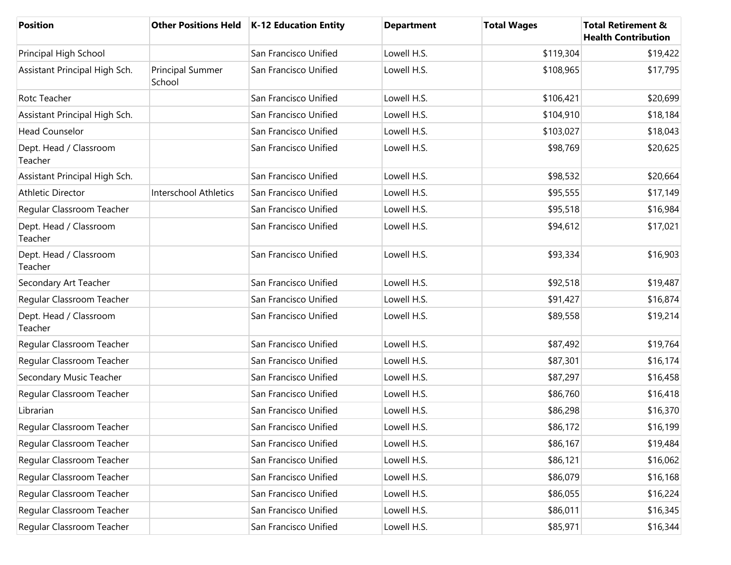| Position                          |                                   | Other Positions Held   K-12 Education Entity | <b>Department</b> | <b>Total Wages</b> | <b>Total Retirement &amp;</b><br><b>Health Contribution</b> |
|-----------------------------------|-----------------------------------|----------------------------------------------|-------------------|--------------------|-------------------------------------------------------------|
| Principal High School             |                                   | San Francisco Unified                        | Lowell H.S.       | \$119,304          | \$19,422                                                    |
| Assistant Principal High Sch.     | <b>Principal Summer</b><br>School | San Francisco Unified                        | Lowell H.S.       | \$108,965          | \$17,795                                                    |
| Rotc Teacher                      |                                   | San Francisco Unified                        | Lowell H.S.       | \$106,421          | \$20,699                                                    |
| Assistant Principal High Sch.     |                                   | San Francisco Unified                        | Lowell H.S.       | \$104,910          | \$18,184                                                    |
| <b>Head Counselor</b>             |                                   | San Francisco Unified                        | Lowell H.S.       | \$103,027          | \$18,043                                                    |
| Dept. Head / Classroom<br>Teacher |                                   | San Francisco Unified                        | Lowell H.S.       | \$98,769           | \$20,625                                                    |
| Assistant Principal High Sch.     |                                   | San Francisco Unified                        | Lowell H.S.       | \$98,532           | \$20,664                                                    |
| <b>Athletic Director</b>          | <b>Interschool Athletics</b>      | San Francisco Unified                        | Lowell H.S.       | \$95,555           | \$17,149                                                    |
| Regular Classroom Teacher         |                                   | San Francisco Unified                        | Lowell H.S.       | \$95,518           | \$16,984                                                    |
| Dept. Head / Classroom<br>Teacher |                                   | San Francisco Unified                        | Lowell H.S.       | \$94,612           | \$17,021                                                    |
| Dept. Head / Classroom<br>Teacher |                                   | San Francisco Unified                        | Lowell H.S.       | \$93,334           | \$16,903                                                    |
| Secondary Art Teacher             |                                   | San Francisco Unified                        | Lowell H.S.       | \$92,518           | \$19,487                                                    |
| Regular Classroom Teacher         |                                   | San Francisco Unified                        | Lowell H.S.       | \$91,427           | \$16,874                                                    |
| Dept. Head / Classroom<br>Teacher |                                   | San Francisco Unified                        | Lowell H.S.       | \$89,558           | \$19,214                                                    |
| Regular Classroom Teacher         |                                   | San Francisco Unified                        | Lowell H.S.       | \$87,492           | \$19,764                                                    |
| Regular Classroom Teacher         |                                   | San Francisco Unified                        | Lowell H.S.       | \$87,301           | \$16,174                                                    |
| Secondary Music Teacher           |                                   | San Francisco Unified                        | Lowell H.S.       | \$87,297           | \$16,458                                                    |
| Regular Classroom Teacher         |                                   | San Francisco Unified                        | Lowell H.S.       | \$86,760           | \$16,418                                                    |
| Librarian                         |                                   | San Francisco Unified                        | Lowell H.S.       | \$86,298           | \$16,370                                                    |
| Regular Classroom Teacher         |                                   | San Francisco Unified                        | Lowell H.S.       | \$86,172           | \$16,199                                                    |
| Regular Classroom Teacher         |                                   | San Francisco Unified                        | Lowell H.S.       | \$86,167           | \$19,484                                                    |
| Regular Classroom Teacher         |                                   | San Francisco Unified                        | Lowell H.S.       | \$86,121           | \$16,062                                                    |
| Regular Classroom Teacher         |                                   | San Francisco Unified                        | Lowell H.S.       | \$86,079           | \$16,168                                                    |
| Regular Classroom Teacher         |                                   | San Francisco Unified                        | Lowell H.S.       | \$86,055           | \$16,224                                                    |
| Regular Classroom Teacher         |                                   | San Francisco Unified                        | Lowell H.S.       | \$86,011           | \$16,345                                                    |
| Regular Classroom Teacher         |                                   | San Francisco Unified                        | Lowell H.S.       | \$85,971           | \$16,344                                                    |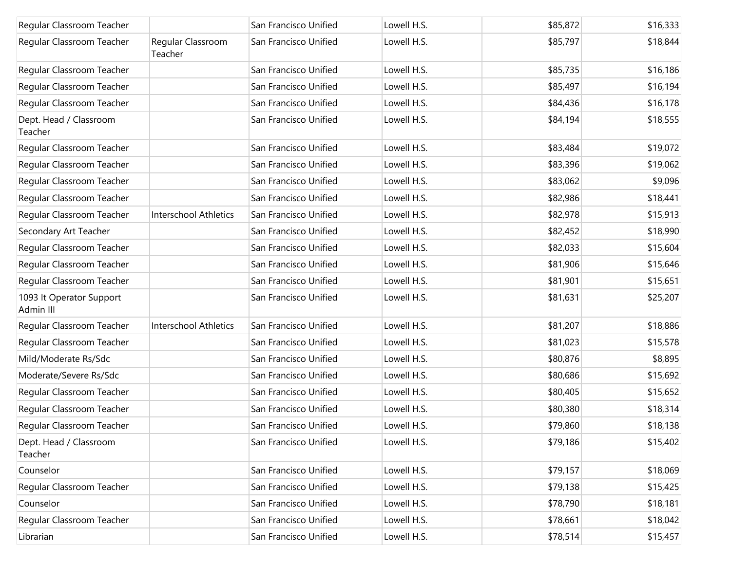| Regular Classroom Teacher             |                              | San Francisco Unified | Lowell H.S. | \$85,872 | \$16,333 |
|---------------------------------------|------------------------------|-----------------------|-------------|----------|----------|
| Regular Classroom Teacher             | Regular Classroom<br>Teacher | San Francisco Unified | Lowell H.S. | \$85,797 | \$18,844 |
| Regular Classroom Teacher             |                              | San Francisco Unified | Lowell H.S. | \$85,735 | \$16,186 |
| Regular Classroom Teacher             |                              | San Francisco Unified | Lowell H.S. | \$85,497 | \$16,194 |
| Regular Classroom Teacher             |                              | San Francisco Unified | Lowell H.S. | \$84,436 | \$16,178 |
| Dept. Head / Classroom<br>Teacher     |                              | San Francisco Unified | Lowell H.S. | \$84,194 | \$18,555 |
| Regular Classroom Teacher             |                              | San Francisco Unified | Lowell H.S. | \$83,484 | \$19,072 |
| Regular Classroom Teacher             |                              | San Francisco Unified | Lowell H.S. | \$83,396 | \$19,062 |
| Regular Classroom Teacher             |                              | San Francisco Unified | Lowell H.S. | \$83,062 | \$9,096  |
| Regular Classroom Teacher             |                              | San Francisco Unified | Lowell H.S. | \$82,986 | \$18,441 |
| Regular Classroom Teacher             | <b>Interschool Athletics</b> | San Francisco Unified | Lowell H.S. | \$82,978 | \$15,913 |
| Secondary Art Teacher                 |                              | San Francisco Unified | Lowell H.S. | \$82,452 | \$18,990 |
| Regular Classroom Teacher             |                              | San Francisco Unified | Lowell H.S. | \$82,033 | \$15,604 |
| Regular Classroom Teacher             |                              | San Francisco Unified | Lowell H.S. | \$81,906 | \$15,646 |
| Regular Classroom Teacher             |                              | San Francisco Unified | Lowell H.S. | \$81,901 | \$15,651 |
| 1093 It Operator Support<br>Admin III |                              | San Francisco Unified | Lowell H.S. | \$81,631 | \$25,207 |
| Regular Classroom Teacher             | <b>Interschool Athletics</b> | San Francisco Unified | Lowell H.S. | \$81,207 | \$18,886 |
| Regular Classroom Teacher             |                              | San Francisco Unified | Lowell H.S. | \$81,023 | \$15,578 |
| Mild/Moderate Rs/Sdc                  |                              | San Francisco Unified | Lowell H.S. | \$80,876 | \$8,895  |
| Moderate/Severe Rs/Sdc                |                              | San Francisco Unified | Lowell H.S. | \$80,686 | \$15,692 |
| Regular Classroom Teacher             |                              | San Francisco Unified | Lowell H.S. | \$80,405 | \$15,652 |
| Regular Classroom Teacher             |                              | San Francisco Unified | Lowell H.S. | \$80,380 | \$18,314 |
| Regular Classroom Teacher             |                              | San Francisco Unified | Lowell H.S. | \$79,860 | \$18,138 |
| Dept. Head / Classroom<br>Teacher     |                              | San Francisco Unified | Lowell H.S. | \$79,186 | \$15,402 |
| Counselor                             |                              | San Francisco Unified | Lowell H.S. | \$79,157 | \$18,069 |
| Regular Classroom Teacher             |                              | San Francisco Unified | Lowell H.S. | \$79,138 | \$15,425 |
| Counselor                             |                              | San Francisco Unified | Lowell H.S. | \$78,790 | \$18,181 |
| Regular Classroom Teacher             |                              | San Francisco Unified | Lowell H.S. | \$78,661 | \$18,042 |
| Librarian                             |                              | San Francisco Unified | Lowell H.S. | \$78,514 | \$15,457 |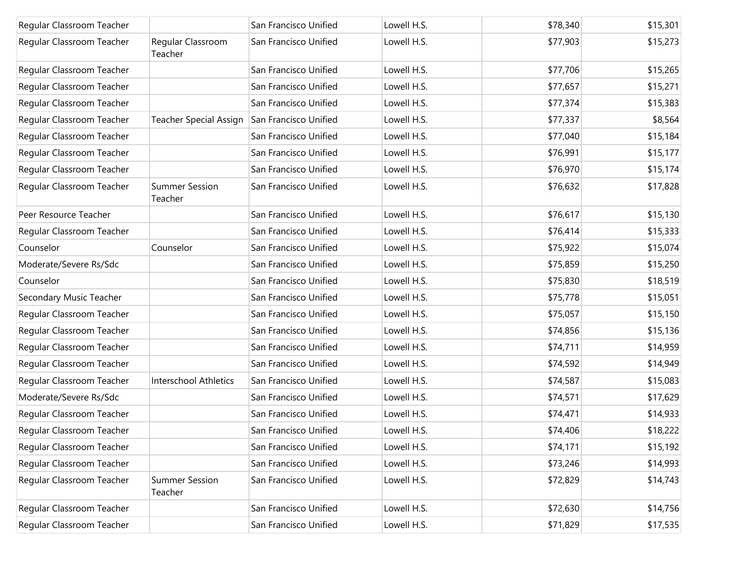| Regular Classroom Teacher |                                  | San Francisco Unified | Lowell H.S. | \$78,340 | \$15,301 |
|---------------------------|----------------------------------|-----------------------|-------------|----------|----------|
| Regular Classroom Teacher | Regular Classroom<br>Teacher     | San Francisco Unified | Lowell H.S. | \$77,903 | \$15,273 |
| Regular Classroom Teacher |                                  | San Francisco Unified | Lowell H.S. | \$77,706 | \$15,265 |
| Regular Classroom Teacher |                                  | San Francisco Unified | Lowell H.S. | \$77,657 | \$15,271 |
| Regular Classroom Teacher |                                  | San Francisco Unified | Lowell H.S. | \$77,374 | \$15,383 |
| Regular Classroom Teacher | <b>Teacher Special Assign</b>    | San Francisco Unified | Lowell H.S. | \$77,337 | \$8,564  |
| Regular Classroom Teacher |                                  | San Francisco Unified | Lowell H.S. | \$77,040 | \$15,184 |
| Regular Classroom Teacher |                                  | San Francisco Unified | Lowell H.S. | \$76,991 | \$15,177 |
| Regular Classroom Teacher |                                  | San Francisco Unified | Lowell H.S. | \$76,970 | \$15,174 |
| Regular Classroom Teacher | <b>Summer Session</b><br>Teacher | San Francisco Unified | Lowell H.S. | \$76,632 | \$17,828 |
| Peer Resource Teacher     |                                  | San Francisco Unified | Lowell H.S. | \$76,617 | \$15,130 |
| Regular Classroom Teacher |                                  | San Francisco Unified | Lowell H.S. | \$76,414 | \$15,333 |
| Counselor                 | Counselor                        | San Francisco Unified | Lowell H.S. | \$75,922 | \$15,074 |
| Moderate/Severe Rs/Sdc    |                                  | San Francisco Unified | Lowell H.S. | \$75,859 | \$15,250 |
| Counselor                 |                                  | San Francisco Unified | Lowell H.S. | \$75,830 | \$18,519 |
| Secondary Music Teacher   |                                  | San Francisco Unified | Lowell H.S. | \$75,778 | \$15,051 |
| Regular Classroom Teacher |                                  | San Francisco Unified | Lowell H.S. | \$75,057 | \$15,150 |
| Regular Classroom Teacher |                                  | San Francisco Unified | Lowell H.S. | \$74,856 | \$15,136 |
| Regular Classroom Teacher |                                  | San Francisco Unified | Lowell H.S. | \$74,711 | \$14,959 |
| Regular Classroom Teacher |                                  | San Francisco Unified | Lowell H.S. | \$74,592 | \$14,949 |
| Regular Classroom Teacher | Interschool Athletics            | San Francisco Unified | Lowell H.S. | \$74,587 | \$15,083 |
| Moderate/Severe Rs/Sdc    |                                  | San Francisco Unified | Lowell H.S. | \$74,571 | \$17,629 |
| Regular Classroom Teacher |                                  | San Francisco Unified | Lowell H.S. | \$74,471 | \$14,933 |
| Regular Classroom Teacher |                                  | San Francisco Unified | Lowell H.S. | \$74,406 | \$18,222 |
| Regular Classroom Teacher |                                  | San Francisco Unified | Lowell H.S. | \$74,171 | \$15,192 |
| Regular Classroom Teacher |                                  | San Francisco Unified | Lowell H.S. | \$73,246 | \$14,993 |
| Regular Classroom Teacher | <b>Summer Session</b><br>Teacher | San Francisco Unified | Lowell H.S. | \$72,829 | \$14,743 |
| Regular Classroom Teacher |                                  | San Francisco Unified | Lowell H.S. | \$72,630 | \$14,756 |
| Regular Classroom Teacher |                                  | San Francisco Unified | Lowell H.S. | \$71,829 | \$17,535 |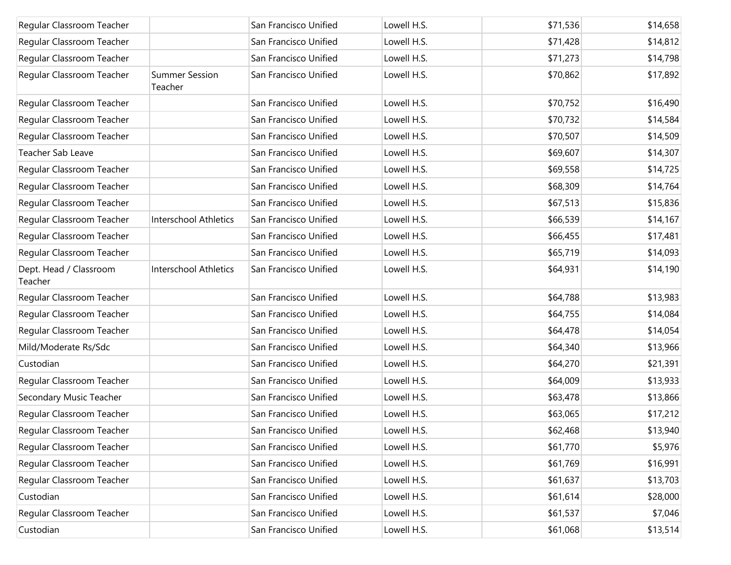| Regular Classroom Teacher         |                                  | San Francisco Unified | Lowell H.S. | \$71,536 | \$14,658 |
|-----------------------------------|----------------------------------|-----------------------|-------------|----------|----------|
| Regular Classroom Teacher         |                                  | San Francisco Unified | Lowell H.S. | \$71,428 | \$14,812 |
| Regular Classroom Teacher         |                                  | San Francisco Unified | Lowell H.S. | \$71,273 | \$14,798 |
| Regular Classroom Teacher         | <b>Summer Session</b><br>Teacher | San Francisco Unified | Lowell H.S. | \$70,862 | \$17,892 |
| Regular Classroom Teacher         |                                  | San Francisco Unified | Lowell H.S. | \$70,752 | \$16,490 |
| Regular Classroom Teacher         |                                  | San Francisco Unified | Lowell H.S. | \$70,732 | \$14,584 |
| Regular Classroom Teacher         |                                  | San Francisco Unified | Lowell H.S. | \$70,507 | \$14,509 |
| Teacher Sab Leave                 |                                  | San Francisco Unified | Lowell H.S. | \$69,607 | \$14,307 |
| Regular Classroom Teacher         |                                  | San Francisco Unified | Lowell H.S. | \$69,558 | \$14,725 |
| Regular Classroom Teacher         |                                  | San Francisco Unified | Lowell H.S. | \$68,309 | \$14,764 |
| Regular Classroom Teacher         |                                  | San Francisco Unified | Lowell H.S. | \$67,513 | \$15,836 |
| Regular Classroom Teacher         | Interschool Athletics            | San Francisco Unified | Lowell H.S. | \$66,539 | \$14,167 |
| Regular Classroom Teacher         |                                  | San Francisco Unified | Lowell H.S. | \$66,455 | \$17,481 |
| Regular Classroom Teacher         |                                  | San Francisco Unified | Lowell H.S. | \$65,719 | \$14,093 |
| Dept. Head / Classroom<br>Teacher | Interschool Athletics            | San Francisco Unified | Lowell H.S. | \$64,931 | \$14,190 |
| Regular Classroom Teacher         |                                  | San Francisco Unified | Lowell H.S. | \$64,788 | \$13,983 |
| Regular Classroom Teacher         |                                  | San Francisco Unified | Lowell H.S. | \$64,755 | \$14,084 |
| Regular Classroom Teacher         |                                  | San Francisco Unified | Lowell H.S. | \$64,478 | \$14,054 |
| Mild/Moderate Rs/Sdc              |                                  | San Francisco Unified | Lowell H.S. | \$64,340 | \$13,966 |
| Custodian                         |                                  | San Francisco Unified | Lowell H.S. | \$64,270 | \$21,391 |
| Regular Classroom Teacher         |                                  | San Francisco Unified | Lowell H.S. | \$64,009 | \$13,933 |
| Secondary Music Teacher           |                                  | San Francisco Unified | Lowell H.S. | \$63,478 | \$13,866 |
| Regular Classroom Teacher         |                                  | San Francisco Unified | Lowell H.S. | \$63,065 | \$17,212 |
| Regular Classroom Teacher         |                                  | San Francisco Unified | Lowell H.S. | \$62,468 | \$13,940 |
| Regular Classroom Teacher         |                                  | San Francisco Unified | Lowell H.S. | \$61,770 | \$5,976  |
| Regular Classroom Teacher         |                                  | San Francisco Unified | Lowell H.S. | \$61,769 | \$16,991 |
| Regular Classroom Teacher         |                                  | San Francisco Unified | Lowell H.S. | \$61,637 | \$13,703 |
| Custodian                         |                                  | San Francisco Unified | Lowell H.S. | \$61,614 | \$28,000 |
| Regular Classroom Teacher         |                                  | San Francisco Unified | Lowell H.S. | \$61,537 | \$7,046  |
| Custodian                         |                                  | San Francisco Unified | Lowell H.S. | \$61,068 | \$13,514 |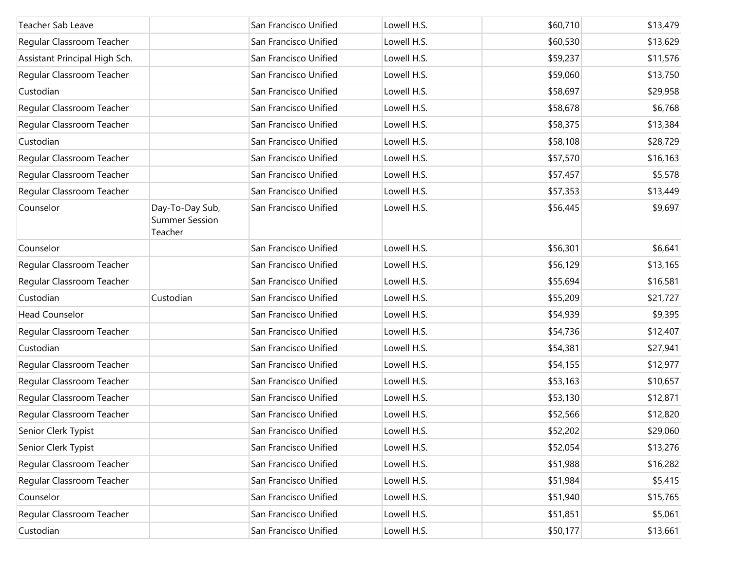| Teacher Sab Leave             |                                                     | San Francisco Unified | Lowell H.S. | \$60,710 | \$13,479 |
|-------------------------------|-----------------------------------------------------|-----------------------|-------------|----------|----------|
| Regular Classroom Teacher     |                                                     | San Francisco Unified | Lowell H.S. | \$60,530 | \$13,629 |
| Assistant Principal High Sch. |                                                     | San Francisco Unified | Lowell H.S. | \$59,237 | \$11,576 |
| Regular Classroom Teacher     |                                                     | San Francisco Unified | Lowell H.S. | \$59,060 | \$13,750 |
| Custodian                     |                                                     | San Francisco Unified | Lowell H.S. | \$58,697 | \$29,958 |
| Regular Classroom Teacher     |                                                     | San Francisco Unified | Lowell H.S. | \$58,678 | \$6,768  |
| Regular Classroom Teacher     |                                                     | San Francisco Unified | Lowell H.S. | \$58,375 | \$13,384 |
| Custodian                     |                                                     | San Francisco Unified | Lowell H.S. | \$58,108 | \$28,729 |
| Regular Classroom Teacher     |                                                     | San Francisco Unified | Lowell H.S. | \$57,570 | \$16,163 |
| Regular Classroom Teacher     |                                                     | San Francisco Unified | Lowell H.S. | \$57,457 | \$5,578  |
| Regular Classroom Teacher     |                                                     | San Francisco Unified | Lowell H.S. | \$57,353 | \$13,449 |
| Counselor                     | Day-To-Day Sub,<br><b>Summer Session</b><br>Teacher | San Francisco Unified | Lowell H.S. | \$56,445 | \$9,697  |
| Counselor                     |                                                     | San Francisco Unified | Lowell H.S. | \$56,301 | \$6,641  |
| Regular Classroom Teacher     |                                                     | San Francisco Unified | Lowell H.S. | \$56,129 | \$13,165 |
| Regular Classroom Teacher     |                                                     | San Francisco Unified | Lowell H.S. | \$55,694 | \$16,581 |
| Custodian                     | Custodian                                           | San Francisco Unified | Lowell H.S. | \$55,209 | \$21,727 |
| <b>Head Counselor</b>         |                                                     | San Francisco Unified | Lowell H.S. | \$54,939 | \$9,395  |
| Regular Classroom Teacher     |                                                     | San Francisco Unified | Lowell H.S. | \$54,736 | \$12,407 |
| Custodian                     |                                                     | San Francisco Unified | Lowell H.S. | \$54,381 | \$27,941 |
| Regular Classroom Teacher     |                                                     | San Francisco Unified | Lowell H.S. | \$54,155 | \$12,977 |
| Regular Classroom Teacher     |                                                     | San Francisco Unified | Lowell H.S. | \$53,163 | \$10,657 |
| Regular Classroom Teacher     |                                                     | San Francisco Unified | Lowell H.S. | \$53,130 | \$12,871 |
| Regular Classroom Teacher     |                                                     | San Francisco Unified | Lowell H.S. | \$52,566 | \$12,820 |
| Senior Clerk Typist           |                                                     | San Francisco Unified | Lowell H.S. | \$52,202 | \$29,060 |
| Senior Clerk Typist           |                                                     | San Francisco Unified | Lowell H.S. | \$52,054 | \$13,276 |
| Regular Classroom Teacher     |                                                     | San Francisco Unified | Lowell H.S. | \$51,988 | \$16,282 |
| Regular Classroom Teacher     |                                                     | San Francisco Unified | Lowell H.S. | \$51,984 | \$5,415  |
| Counselor                     |                                                     | San Francisco Unified | Lowell H.S. | \$51,940 | \$15,765 |
| Regular Classroom Teacher     |                                                     | San Francisco Unified | Lowell H.S. | \$51,851 | \$5,061  |
| Custodian                     |                                                     | San Francisco Unified | Lowell H.S. | \$50,177 | \$13,661 |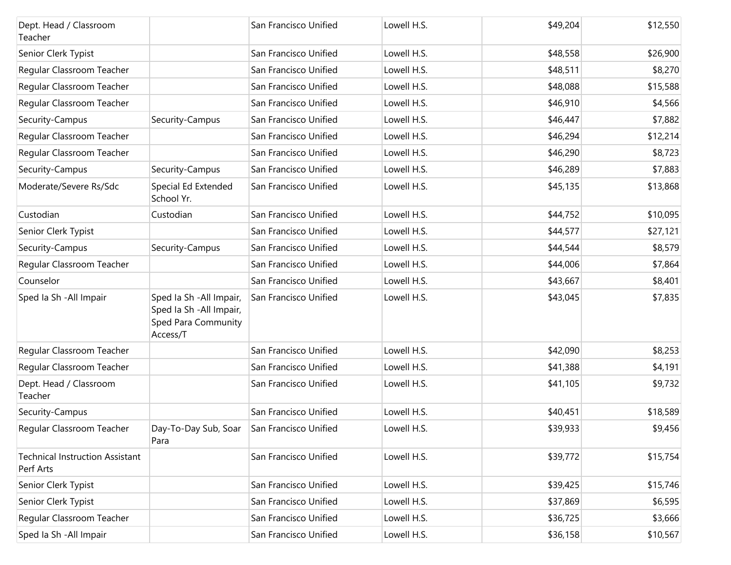| Dept. Head / Classroom<br>Teacher                   |                                                                                         | San Francisco Unified | Lowell H.S. | \$49,204 | \$12,550 |
|-----------------------------------------------------|-----------------------------------------------------------------------------------------|-----------------------|-------------|----------|----------|
| Senior Clerk Typist                                 |                                                                                         | San Francisco Unified | Lowell H.S. | \$48,558 | \$26,900 |
| Regular Classroom Teacher                           |                                                                                         | San Francisco Unified | Lowell H.S. | \$48,511 | \$8,270  |
| Regular Classroom Teacher                           |                                                                                         | San Francisco Unified | Lowell H.S. | \$48,088 | \$15,588 |
| Regular Classroom Teacher                           |                                                                                         | San Francisco Unified | Lowell H.S. | \$46,910 | \$4,566  |
| Security-Campus                                     | Security-Campus                                                                         | San Francisco Unified | Lowell H.S. | \$46,447 | \$7,882  |
| Regular Classroom Teacher                           |                                                                                         | San Francisco Unified | Lowell H.S. | \$46,294 | \$12,214 |
| Regular Classroom Teacher                           |                                                                                         | San Francisco Unified | Lowell H.S. | \$46,290 | \$8,723  |
| Security-Campus                                     | Security-Campus                                                                         | San Francisco Unified | Lowell H.S. | \$46,289 | \$7,883  |
| Moderate/Severe Rs/Sdc                              | Special Ed Extended<br>School Yr.                                                       | San Francisco Unified | Lowell H.S. | \$45,135 | \$13,868 |
| Custodian                                           | Custodian                                                                               | San Francisco Unified | Lowell H.S. | \$44,752 | \$10,095 |
| Senior Clerk Typist                                 |                                                                                         | San Francisco Unified | Lowell H.S. | \$44,577 | \$27,121 |
| Security-Campus                                     | Security-Campus                                                                         | San Francisco Unified | Lowell H.S. | \$44,544 | \$8,579  |
| Regular Classroom Teacher                           |                                                                                         | San Francisco Unified | Lowell H.S. | \$44,006 | \$7,864  |
| Counselor                                           |                                                                                         | San Francisco Unified | Lowell H.S. | \$43,667 | \$8,401  |
| Sped Ia Sh - All Impair                             | Sped Ia Sh - All Impair,<br>Sped Ia Sh - All Impair,<br>Sped Para Community<br>Access/T | San Francisco Unified | Lowell H.S. | \$43,045 | \$7,835  |
| Regular Classroom Teacher                           |                                                                                         | San Francisco Unified | Lowell H.S. | \$42,090 | \$8,253  |
| Regular Classroom Teacher                           |                                                                                         | San Francisco Unified | Lowell H.S. | \$41,388 | \$4,191  |
| Dept. Head / Classroom<br>Teacher                   |                                                                                         | San Francisco Unified | Lowell H.S. | \$41,105 | \$9,732  |
| Security-Campus                                     |                                                                                         | San Francisco Unified | Lowell H.S. | \$40,451 | \$18,589 |
| Regular Classroom Teacher                           | Day-To-Day Sub, Soar<br>Para                                                            | San Francisco Unified | Lowell H.S. | \$39,933 | \$9,456  |
| <b>Technical Instruction Assistant</b><br>Perf Arts |                                                                                         | San Francisco Unified | Lowell H.S. | \$39,772 | \$15,754 |
| Senior Clerk Typist                                 |                                                                                         | San Francisco Unified | Lowell H.S. | \$39,425 | \$15,746 |
| Senior Clerk Typist                                 |                                                                                         | San Francisco Unified | Lowell H.S. | \$37,869 | \$6,595  |
| Regular Classroom Teacher                           |                                                                                         | San Francisco Unified | Lowell H.S. | \$36,725 | \$3,666  |
| Sped la Sh - All Impair                             |                                                                                         | San Francisco Unified | Lowell H.S. | \$36,158 | \$10,567 |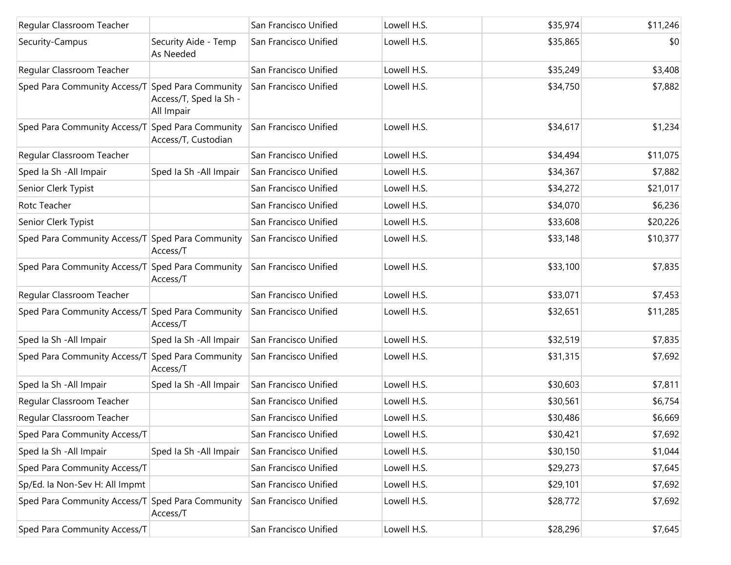| Regular Classroom Teacher                        |                                      | San Francisco Unified | Lowell H.S. | \$35,974 | \$11,246 |
|--------------------------------------------------|--------------------------------------|-----------------------|-------------|----------|----------|
| Security-Campus                                  | Security Aide - Temp<br>As Needed    | San Francisco Unified | Lowell H.S. | \$35,865 | \$0      |
| Regular Classroom Teacher                        |                                      | San Francisco Unified | Lowell H.S. | \$35,249 | \$3,408  |
| Sped Para Community Access/T Sped Para Community | Access/T, Sped la Sh -<br>All Impair | San Francisco Unified | Lowell H.S. | \$34,750 | \$7,882  |
| Sped Para Community Access/T Sped Para Community | Access/T, Custodian                  | San Francisco Unified | Lowell H.S. | \$34,617 | \$1,234  |
| Regular Classroom Teacher                        |                                      | San Francisco Unified | Lowell H.S. | \$34,494 | \$11,075 |
| Sped Ia Sh - All Impair                          | Sped Ia Sh - All Impair              | San Francisco Unified | Lowell H.S. | \$34,367 | \$7,882  |
| Senior Clerk Typist                              |                                      | San Francisco Unified | Lowell H.S. | \$34,272 | \$21,017 |
| Rotc Teacher                                     |                                      | San Francisco Unified | Lowell H.S. | \$34,070 | \$6,236  |
| Senior Clerk Typist                              |                                      | San Francisco Unified | Lowell H.S. | \$33,608 | \$20,226 |
| Sped Para Community Access/T Sped Para Community | Access/T                             | San Francisco Unified | Lowell H.S. | \$33,148 | \$10,377 |
| Sped Para Community Access/T Sped Para Community | Access/T                             | San Francisco Unified | Lowell H.S. | \$33,100 | \$7,835  |
| Regular Classroom Teacher                        |                                      | San Francisco Unified | Lowell H.S. | \$33,071 | \$7,453  |
| Sped Para Community Access/T                     | Sped Para Community<br>Access/T      | San Francisco Unified | Lowell H.S. | \$32,651 | \$11,285 |
| Sped Ia Sh - All Impair                          | Sped Ia Sh - All Impair              | San Francisco Unified | Lowell H.S. | \$32,519 | \$7,835  |
| Sped Para Community Access/T                     | Sped Para Community<br>Access/T      | San Francisco Unified | Lowell H.S. | \$31,315 | \$7,692  |
| Sped Ia Sh - All Impair                          | Sped Ia Sh - All Impair              | San Francisco Unified | Lowell H.S. | \$30,603 | \$7,811  |
| Regular Classroom Teacher                        |                                      | San Francisco Unified | Lowell H.S. | \$30,561 | \$6,754  |
| Regular Classroom Teacher                        |                                      | San Francisco Unified | Lowell H.S. | \$30,486 | \$6,669  |
| Sped Para Community Access/T                     |                                      | San Francisco Unified | Lowell H.S. | \$30,421 | \$7,692  |
| Sped Ia Sh - All Impair                          | Sped la Sh - All Impair              | San Francisco Unified | Lowell H.S. | \$30,150 | \$1,044  |
| Sped Para Community Access/T                     |                                      | San Francisco Unified | Lowell H.S. | \$29,273 | \$7,645  |
| Sp/Ed. la Non-Sev H: All Impmt                   |                                      | San Francisco Unified | Lowell H.S. | \$29,101 | \$7,692  |
| Sped Para Community Access/T Sped Para Community | Access/T                             | San Francisco Unified | Lowell H.S. | \$28,772 | \$7,692  |
| Sped Para Community Access/T                     |                                      | San Francisco Unified | Lowell H.S. | \$28,296 | \$7,645  |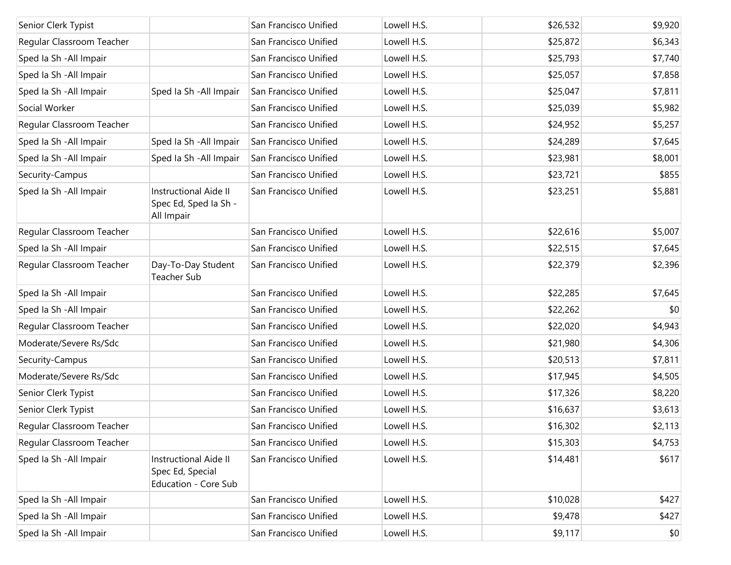| Senior Clerk Typist       |                                                                          | San Francisco Unified | Lowell H.S. | \$26,532 | \$9,920 |
|---------------------------|--------------------------------------------------------------------------|-----------------------|-------------|----------|---------|
| Regular Classroom Teacher |                                                                          | San Francisco Unified | Lowell H.S. | \$25,872 | \$6,343 |
| Sped Ia Sh - All Impair   |                                                                          | San Francisco Unified | Lowell H.S. | \$25,793 | \$7,740 |
| Sped Ia Sh - All Impair   |                                                                          | San Francisco Unified | Lowell H.S. | \$25,057 | \$7,858 |
| Sped Ia Sh - All Impair   | Sped Ia Sh - All Impair                                                  | San Francisco Unified | Lowell H.S. | \$25,047 | \$7,811 |
| Social Worker             |                                                                          | San Francisco Unified | Lowell H.S. | \$25,039 | \$5,982 |
| Regular Classroom Teacher |                                                                          | San Francisco Unified | Lowell H.S. | \$24,952 | \$5,257 |
| Sped Ia Sh - All Impair   | Sped Ia Sh - All Impair                                                  | San Francisco Unified | Lowell H.S. | \$24,289 | \$7,645 |
| Sped Ia Sh - All Impair   | Sped Ia Sh - All Impair                                                  | San Francisco Unified | Lowell H.S. | \$23,981 | \$8,001 |
| Security-Campus           |                                                                          | San Francisco Unified | Lowell H.S. | \$23,721 | \$855   |
| Sped Ia Sh - All Impair   | <b>Instructional Aide II</b><br>Spec Ed, Sped Ia Sh -<br>All Impair      | San Francisco Unified | Lowell H.S. | \$23,251 | \$5,881 |
| Regular Classroom Teacher |                                                                          | San Francisco Unified | Lowell H.S. | \$22,616 | \$5,007 |
| Sped Ia Sh - All Impair   |                                                                          | San Francisco Unified | Lowell H.S. | \$22,515 | \$7,645 |
| Regular Classroom Teacher | Day-To-Day Student<br><b>Teacher Sub</b>                                 | San Francisco Unified | Lowell H.S. | \$22,379 | \$2,396 |
| Sped Ia Sh - All Impair   |                                                                          | San Francisco Unified | Lowell H.S. | \$22,285 | \$7,645 |
| Sped Ia Sh - All Impair   |                                                                          | San Francisco Unified | Lowell H.S. | \$22,262 | \$0     |
| Regular Classroom Teacher |                                                                          | San Francisco Unified | Lowell H.S. | \$22,020 | \$4,943 |
| Moderate/Severe Rs/Sdc    |                                                                          | San Francisco Unified | Lowell H.S. | \$21,980 | \$4,306 |
| Security-Campus           |                                                                          | San Francisco Unified | Lowell H.S. | \$20,513 | \$7,811 |
| Moderate/Severe Rs/Sdc    |                                                                          | San Francisco Unified | Lowell H.S. | \$17,945 | \$4,505 |
| Senior Clerk Typist       |                                                                          | San Francisco Unified | Lowell H.S. | \$17,326 | \$8,220 |
| Senior Clerk Typist       |                                                                          | San Francisco Unified | Lowell H.S. | \$16,637 | \$3,613 |
| Regular Classroom Teacher |                                                                          | San Francisco Unified | Lowell H.S. | \$16,302 | \$2,113 |
| Regular Classroom Teacher |                                                                          | San Francisco Unified | Lowell H.S. | \$15,303 | \$4,753 |
| Sped Ia Sh - All Impair   | <b>Instructional Aide II</b><br>Spec Ed, Special<br>Education - Core Sub | San Francisco Unified | Lowell H.S. | \$14,481 | \$617   |
| Sped Ia Sh - All Impair   |                                                                          | San Francisco Unified | Lowell H.S. | \$10,028 | \$427   |
| Sped Ia Sh - All Impair   |                                                                          | San Francisco Unified | Lowell H.S. | \$9,478  | \$427   |
| Sped la Sh - All Impair   |                                                                          | San Francisco Unified | Lowell H.S. | \$9,117  | $ $ \$0 |